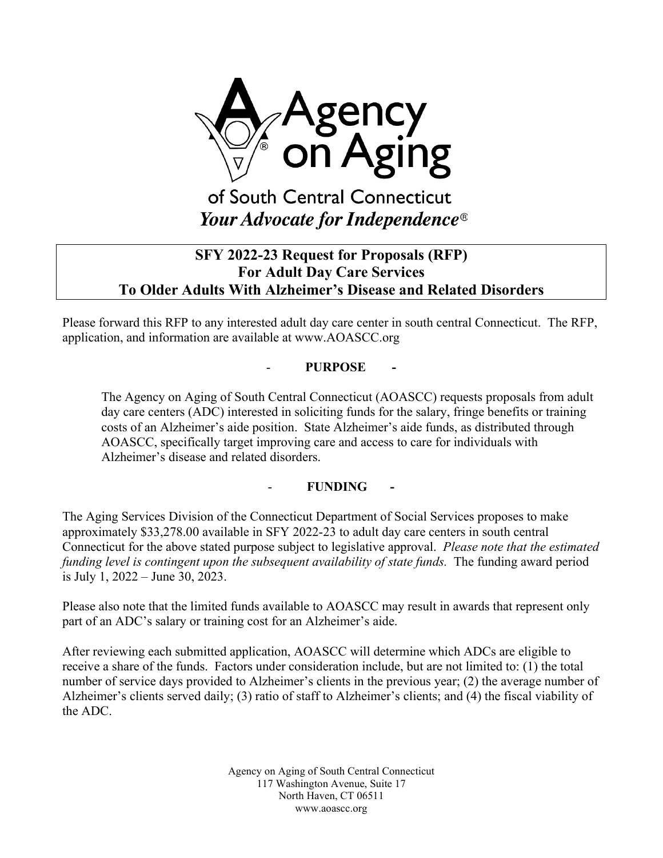

# **SFY 2022-23 Request for Proposals (RFP) For Adult Day Care Services To Older Adults With Alzheimer's Disease and Related Disorders**

Please forward this RFP to any interested adult day care center in south central Connecticut. The RFP, application, and information are available at www.AOASCC.org

### - **PURPOSE -**

The Agency on Aging of South Central Connecticut (AOASCC) requests proposals from adult day care centers (ADC) interested in soliciting funds for the salary, fringe benefits or training costs of an Alzheimer's aide position. State Alzheimer's aide funds, as distributed through AOASCC, specifically target improving care and access to care for individuals with Alzheimer's disease and related disorders.

### - **FUNDING -**

The Aging Services Division of the Connecticut Department of Social Services proposes to make approximately \$33,278.00 available in SFY 2022-23 to adult day care centers in south central Connecticut for the above stated purpose subject to legislative approval.*Please note that the estimated funding level is contingent upon the subsequent availability of state funds.* The funding award period is July 1, 2022 – June 30, 2023.

Please also note that the limited funds available to AOASCC may result in awards that represent only part of an ADC's salary or training cost for an Alzheimer's aide.

After reviewing each submitted application, AOASCC will determine which ADCs are eligible to receive a share of the funds. Factors under consideration include, but are not limited to: (1) the total number of service days provided to Alzheimer's clients in the previous year; (2) the average number of Alzheimer's clients served daily; (3) ratio of staff to Alzheimer's clients; and (4) the fiscal viability of the ADC.

> Agency on Aging of South Central Connecticut 117 Washington Avenue, Suite 17 North Haven, CT 06511 www.aoascc.org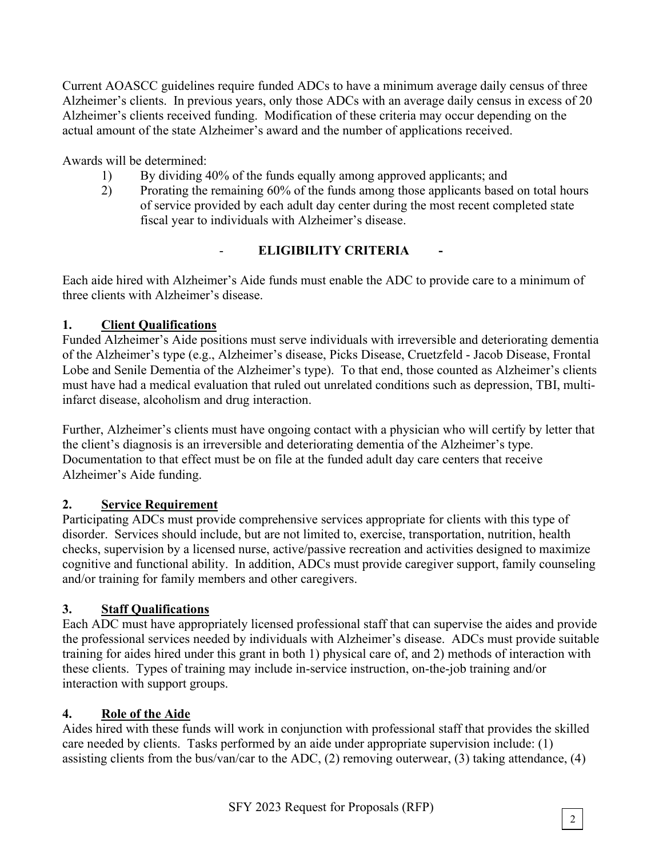Current AOASCC guidelines require funded ADCs to have a minimum average daily census of three Alzheimer's clients. In previous years, only those ADCs with an average daily census in excess of 20 Alzheimer's clients received funding. Modification of these criteria may occur depending on the actual amount of the state Alzheimer's award and the number of applications received.

Awards will be determined:

- 1) By dividing 40% of the funds equally among approved applicants; and
- 2) Prorating the remaining 60% of the funds among those applicants based on total hours of service provided by each adult day center during the most recent completed state fiscal year to individuals with Alzheimer's disease.

# **ELIGIBILITY CRITERIA**

Each aide hired with Alzheimer's Aide funds must enable the ADC to provide care to a minimum of three clients with Alzheimer's disease.

### **1. Client Qualifications**

Funded Alzheimer's Aide positions must serve individuals with irreversible and deteriorating dementia of the Alzheimer's type (e.g., Alzheimer's disease, Picks Disease, Cruetzfeld - Jacob Disease, Frontal Lobe and Senile Dementia of the Alzheimer's type). To that end, those counted as Alzheimer's clients must have had a medical evaluation that ruled out unrelated conditions such as depression, TBI, multiinfarct disease, alcoholism and drug interaction.

Further, Alzheimer's clients must have ongoing contact with a physician who will certify by letter that the client's diagnosis is an irreversible and deteriorating dementia of the Alzheimer's type. Documentation to that effect must be on file at the funded adult day care centers that receive Alzheimer's Aide funding.

# **2. Service Requirement**

Participating ADCs must provide comprehensive services appropriate for clients with this type of disorder. Services should include, but are not limited to, exercise, transportation, nutrition, health checks, supervision by a licensed nurse, active/passive recreation and activities designed to maximize cognitive and functional ability. In addition, ADCs must provide caregiver support, family counseling and/or training for family members and other caregivers.

# **3. Staff Qualifications**

Each ADC must have appropriately licensed professional staff that can supervise the aides and provide the professional services needed by individuals with Alzheimer's disease. ADCs must provide suitable training for aides hired under this grant in both 1) physical care of, and 2) methods of interaction with these clients. Types of training may include in-service instruction, on-the-job training and/or interaction with support groups.

### **4. Role of the Aide**

Aides hired with these funds will work in conjunction with professional staff that provides the skilled care needed by clients. Tasks performed by an aide under appropriate supervision include: (1) assisting clients from the bus/van/car to the ADC, (2) removing outerwear, (3) taking attendance, (4)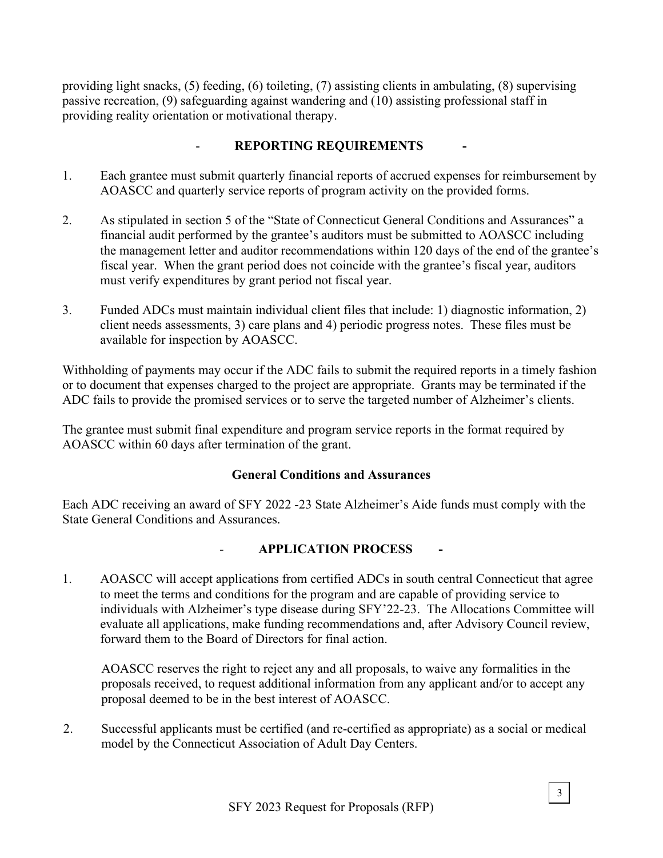providing light snacks, (5) feeding, (6) toileting, (7) assisting clients in ambulating, (8) supervising passive recreation, (9) safeguarding against wandering and (10) assisting professional staff in providing reality orientation or motivational therapy.

### - **REPORTING REQUIREMENTS -**

- 1. Each grantee must submit quarterly financial reports of accrued expenses for reimbursement by AOASCC and quarterly service reports of program activity on the provided forms.
- 2. As stipulated in section 5 of the "State of Connecticut General Conditions and Assurances" a financial audit performed by the grantee's auditors must be submitted to AOASCC including the management letter and auditor recommendations within 120 days of the end of the grantee's fiscal year. When the grant period does not coincide with the grantee's fiscal year, auditors must verify expenditures by grant period not fiscal year.
- 3. Funded ADCs must maintain individual client files that include: 1) diagnostic information, 2) client needs assessments, 3) care plans and 4) periodic progress notes. These files must be available for inspection by AOASCC.

Withholding of payments may occur if the ADC fails to submit the required reports in a timely fashion or to document that expenses charged to the project are appropriate. Grants may be terminated if the ADC fails to provide the promised services or to serve the targeted number of Alzheimer's clients.

The grantee must submit final expenditure and program service reports in the format required by AOASCC within 60 days after termination of the grant.

### **General Conditions and Assurances**

Each ADC receiving an award of SFY 2022 -23 State Alzheimer's Aide funds must comply with the State General Conditions and Assurances.

### - **APPLICATION PROCESS -**

1. AOASCC will accept applications from certified ADCs in south central Connecticut that agree to meet the terms and conditions for the program and are capable of providing service to individuals with Alzheimer's type disease during SFY'22-23. The Allocations Committee will evaluate all applications, make funding recommendations and, after Advisory Council review, forward them to the Board of Directors for final action.

AOASCC reserves the right to reject any and all proposals, to waive any formalities in the proposals received, to request additional information from any applicant and/or to accept any proposal deemed to be in the best interest of AOASCC.

2. Successful applicants must be certified (and re-certified as appropriate) as a social or medical model by the Connecticut Association of Adult Day Centers.